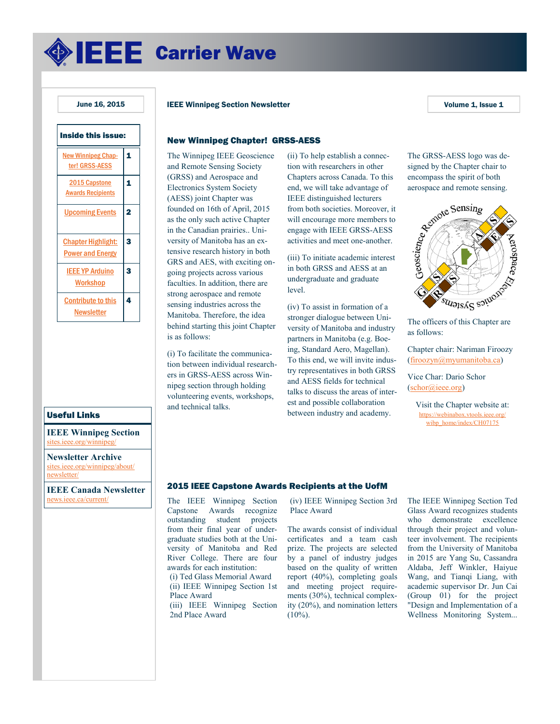<span id="page-0-0"></span>**SEEE** Carrier Wave

# Inside this issue: [New Winnipeg Chap](#page-0-0)[ter! GRSS-AESS](#page-0-0) [1](#page-0-0) [2015 Capstone](#page-0-0)  [Awards Recipients](#page-0-0) 1 [Upcoming Events](#page-1-0) 2 [Chapter Highlight:](#page-2-0)  [Power and Energy](#page-2-0)  3 [IEEE YP Arduino](#page-2-0)  **[Workshop](#page-2-0)** 3 [Contribute to this](#page-3-0)  **[Newsletter](#page-3-0)** 4

## Useful Links

**IEEE Winnipeg Section** tes.ieee.org/winnipe

**Newsletter Archive** [sites.ieee.org/winnipeg/about/](http://sites.ieee.org/winnipeg/about/newsletter/) [newsletter/](http://sites.ieee.org/winnipeg/about/newsletter/)

**IEEE Canada Newsletter** [news.ieee.ca/current/](http://news.ieee.ca/current/)

### June 16, 2015 **IEEE Winnipeg Section Newsletter** Volume 1, Issue 1

# New Winnipeg Chapter! GRSS-AESS

The Winnipeg IEEE Geoscience and Remote Sensing Society (GRSS) and Aerospace and Electronics System Society (AESS) joint Chapter was founded on 16th of April, 2015 as the only such active Chapter in the Canadian prairies.. University of Manitoba has an extensive research history in both GRS and AES, with exciting ongoing projects across various faculties. In addition, there are strong aerospace and remote sensing industries across the Manitoba. Therefore, the idea behind starting this joint Chapter is as follows:

(i) To facilitate the communication between individual researchers in GRSS-AESS across Winnipeg section through holding volunteering events, workshops, and technical talks.

(ii) To help establish a connection with researchers in other Chapters across Canada. To this end, we will take advantage of IEEE distinguished lecturers from both societies. Moreover, it will encourage more members to engage with IEEE GRSS-AESS activities and meet one-another.

(iii) To initiate academic interest in both GRSS and AESS at an undergraduate and graduate level.

(iv) To assist in formation of a stronger dialogue between University of Manitoba and industry partners in Manitoba (e.g. Boeing, Standard Aero, Magellan). To this end, we will invite industry representatives in both GRSS and AESS fields for technical talks to discuss the areas of interest and possible collaboration between industry and academy.

The GRSS-AESS logo was deencompass the spirit of both aerospace and remote sensing.



as follows:

Chapter chair: Nariman Firoozy ([firoozyn@myumanitoba.ca\)](mailto:firoozyn@myumanitoba.ca)

Vice Char: Dario Schor ([schor@ieee.org\)](mailto:schor@ieee.org)

> Visit the Chapter website [at:](https://webinabox.vtools.ieee.org/wibp_home/index/CH07175)  [https://webinabox.vtools.ieee.org/](https://webinabox.vtools.ieee.org/wibp_home/index/CH07175) [wibp\\_home/index/CH07175](https://webinabox.vtools.ieee.org/wibp_home/index/CH07175)

### 2015 IEEE Capstone Awards Recipients at the UofM

The IEEE Winnipeg Section Capstone Awards recognize outstanding student projects from their final year of undergraduate studies both at the University of Manitoba and Red River College. There are four awards for each institution: (i) Ted Glass Memorial Award (ii) IEEE Winnipeg Section 1st Place Award (iii) IEEE Winnipeg Section 2nd Place Award

(iv) IEEE Winnipeg Section 3rd Place Award

The awards consist of individual certificates and a team cash prize. The projects are selected by a panel of industry judges based on the quality of written report (40%), completing goals and meeting project requirements (30%), technical complexity (20%), and nomination letters  $(10\%)$ .

The IEEE Winnipeg Section Ted Glass Award recognizes students who demonstrate excellence through their project and volunteer involvement. The recipients from the University of Manitoba in 2015 are Yang Su, Cassandra Aldaba, Jeff Winkler, Haiyue Wang, and Tianqi Liang, with academic supervisor Dr. Jun Cai (Group 01) for the project "Design and Implementation of a Wellness Monitoring System...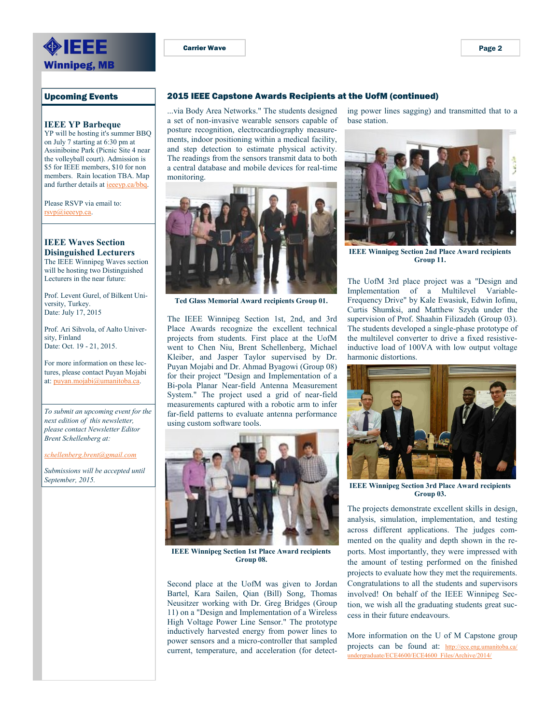<span id="page-1-0"></span>

Upcoming Events

### **IEEE YP Barbeque**

YP will be hosting it's summer BBQ on July 7 starting at 6:30 pm at Assiniboine Park (Picnic Site 4 near the volleyball court). Admission is \$5 for IEEE members, \$10 for non members. Rain location TBA. Map and further details at [ieeeyp.ca/bbq.](http://ieeeyp.ca/bbq)

Please RSVP via email to: [rsvp@ieeeyp.ca.](mailto:rsvp@ieeeyp.ca)

# **IEEE Waves Section**

**Disinguished Lecturers** The IEEE Winnipeg Waves section will be hosting two Distinguished Lecturers in the near future:

Prof. Levent Gurel, of Bilkent University, Turkey. Date: July 17, 2015

Prof. Ari Sihvola, of Aalto University, Finland Date: Oct. 19 - 21, 2015.

For more information on these lectures, please contact Puyan Mojabi at: [puyan.mojabi@umanitoba.ca.](mailto:puyan.mojabi@umanitoba.ca)

*To submit an upcoming event for the next edition of this newsletter, please contact Newsletter Editor Brent Schellenberg at:* 

*[schellenberg.brent@gmail.com](mailto:schellenberg.brent@gmail.com)*

*Submissions will be accepted until September, 2015.*

...via Body Area Networks." The students designed a set of non-invasive wearable sensors capable of posture recognition, electrocardiography measurements, indoor positioning within a medical facility, and step detection to estimate physical activity. The readings from the sensors transmit data to both a central database and mobile devices for real-time monitoring.



**Ted Glass Memorial Award recipients Group 01.**

The IEEE Winnipeg Section 1st, 2nd, and 3rd Place Awards recognize the excellent technical projects from students. First place at the UofM went to Chen Niu, Brent Schellenberg, Michael Kleiber, and Jasper Taylor supervised by Dr. Puyan Mojabi and Dr. Ahmad Byagowi (Group 08) for their project "Design and Implementation of a Bi-pola Planar Near-field Antenna Measurement System." The project used a grid of near-field measurements captured with a robotic arm to infer far-field patterns to evaluate antenna performance using custom software tools.



**IEEE Winnipeg Section 1st Place Award recipients Group 08.**

Second place at the UofM was given to Jordan Bartel, Kara Sailen, Qian (Bill) Song, Thomas Neusitzer working with Dr. Greg Bridges (Group 11) on a "Design and Implementation of a Wireless High Voltage Power Line Sensor." The prototype inductively harvested energy from power lines to power sensors and a micro-controller that sampled current, temperature, and acceleration (for detect-

ing power lines sagging) and transmitted that to a base station.



**IEEE Winnipeg Section 2nd Place Award recipients Group 11.**

The UofM 3rd place project was a "Design and Implementation of a Multilevel Variable-Frequency Drive" by Kale Ewasiuk, Edwin Iofinu, Curtis Shumksi, and Matthew Szyda under the supervision of Prof. Shaahin Filizadeh (Group 03). The students developed a single-phase prototype of the multilevel converter to drive a fixed resistiveinductive load of 100VA with low output voltage harmonic distortions.



**IEEE Winnipeg Section 3rd Place Award recipients Group 03.**

The projects demonstrate excellent skills in design, analysis, simulation, implementation, and testing across different applications. The judges commented on the quality and depth shown in the reports. Most importantly, they were impressed with the amount of testing performed on the finished projects to evaluate how they met the requirements. Congratulations to all the students and supervisors involved! On behalf of the IEEE Winnipeg Section, we wish all the graduating students great success in their future endeavours.

More information on the U of M Capstone group projects can be found at: [http://ece.eng.umanitoba.ca/](http://ece.eng.umanitoba.ca/undergraduate/ECE4600/ECE4600_Files/Archive/2014/) [undergraduate/ECE4600/ECE4600\\_Files/Archive/2014/](http://ece.eng.umanitoba.ca/undergraduate/ECE4600/ECE4600_Files/Archive/2014/)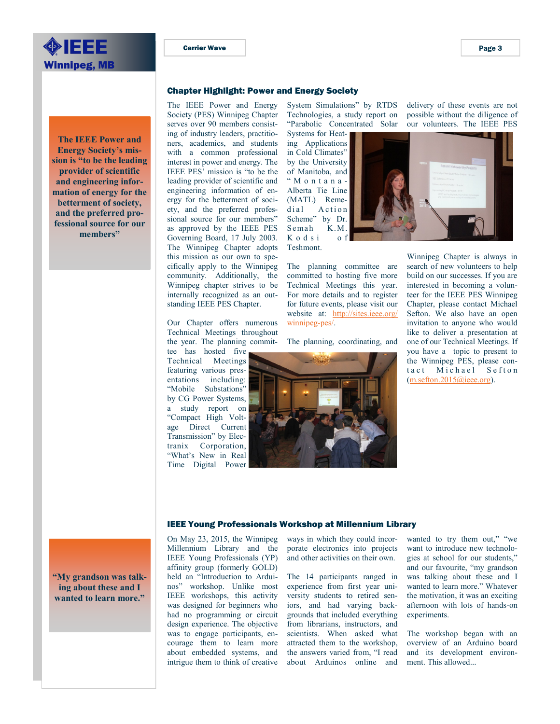<span id="page-2-0"></span>

**The IEEE Power and Energy Society's mission is "to be the leading provider of scientific and engineering information of energy for the betterment of society, and the preferred professional source for our members"** 

### Chapter Highlight: Power and Energy Society

The IEEE Power and Energy Society (PES) Winnipeg Chapter serves over 90 members consisting of industry leaders, practitioners, academics, and students with a common professional interest in power and energy. The IEEE PES' mission is "to be the leading provider of scientific and engineering information of energy for the betterment of society, and the preferred professional source for our members" as approved by the IEEE PES Governing Board, 17 July 2003. The Winnipeg Chapter adopts this mission as our own to specifically apply to the Winnipeg community. Additionally, the Winnipeg chapter strives to be internally recognized as an outstanding IEEE PES Chapter.

Our Chapter offers numerous Technical Meetings throughout the year. The planning commit-

tee has hosted five Technical Meetings featuring various presentations including: "Mobile Substations" by CG Power Systems, a study report on "Compact High Voltage Direct Current Transmission" by Electranix Corporation, "What's New in Real Time Digital Power System Simulations" by RTDS Technologies, a study report on "Parabolic Concentrated Solar

Systems for Heating Applications in Cold Climates" by the University of Manitoba, and " M o n t a n a - Alberta Tie Line (MATL) Remedial Action Scheme" by Dr. Semah K.M. K o d s i o f Teshmont.

The planning committee are committed to hosting five more Technical Meetings this year. For more details and to register for future events, please visit our website [at: http://sites.ieee.org/](http://sites.ieee.org/winnipeg-pes/) [winnipeg-pes/.](http://sites.ieee.org/winnipeg-pes/)

The planning, coordinating, and



delivery of these events are not possible without the diligence of our volunteers. The IEEE PES



Winnipeg Chapter is always in search of new volunteers to help build on our successes. If you are interested in becoming a volunteer for the IEEE PES Winnipeg Chapter, please contact Michael Sefton. We also have an open invitation to anyone who would like to deliver a presentation at one of our Technical Meetings. If you have a topic to present to the Winnipeg PES, please contact Michael Sefton [\(m.sefton.2015@ieee.org\).](mailto:m.sefton.2015@ieee.org)

### IEEE Young Professionals Workshop at Millennium Library

On May 23, 2015, the Winnipeg Millennium Library and the IEEE Young Professionals (YP) affinity group (formerly GOLD) held an "Introduction to Arduinos" workshop. Unlike most IEEE workshops, this activity was designed for beginners who had no programming or circuit design experience. The objective was to engage participants, encourage them to learn more about embedded systems, and intrigue them to think of creative ways in which they could incorporate electronics into projects and other activities on their own.

The 14 participants ranged in experience from first year university students to retired seniors, and had varying backgrounds that included everything from librarians, instructors, and scientists. When asked what attracted them to the workshop, the answers varied from, "I read about Arduinos online and wanted to try them out," "we want to introduce new technologies at school for our students," and our favourite, "my grandson was talking about these and I wanted to learn more." Whatever the motivation, it was an exciting afternoon with lots of hands-on experiments.

The workshop began with an overview of an Arduino board and its development environment. This allowed...

**"My grandson was talking about these and I** 

**wanted to learn more."**